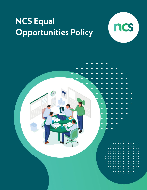

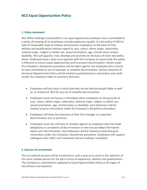## **1. Policy statement**

NCS Office Holdings Limited (NCS) is an equal opportunity employer and is committed to a policy of treating all its employees and job applicants equally. It is the policy of NCS to take all reasonable steps to employ and promote employees on the basis of their abilities and qualifications without regard to race, colour, ethnic origin, nationality, national origin, religion or belief, sex, sexual orientation, age, marital status and/or disability. NCS will appoint, train, develop and promote on the basis of merit and ability alone. Employees have a duty to co-operate with the Company to ensure that this policy is effective to ensure equal opportunities and to prevent discrimination. Action under the Company's disciplinary procedure will be taken against any employee who is found to have committed an act of improper or unlawful discrimination. Serious breaches of the Equal Opportunities Policy will be treated as potential gross misconduct and could render the employee liable to summary dismissal.

- Employees will also bear in mind that they can be held personally liable as well as, or instead of, NCS for any act of unlawful discrimination.
- Employees must not harass or intimidate other employees on the grounds of race, colour, ethnic origin, nationality, national origin, religion or belief, sex, sexual orientation, age, marital status or disability. Such behaviour will be treated as gross misconduct under the Company's disciplinary procedure.
- Employees will draw the attention of their line manager to suspected discriminatory acts or practices.
- Employees must not victimise or retaliate against an employee who has made allegations or complaints of discrimination or who has provided information about such discrimination. Such behaviour will be treated as potential gross misconduct under the Company's disciplinary procedure. Employees will support colleagues who suffer such treatment and are making a complaint.

#### **2. Sources of recruitment**

The recruitment process will be conducted in such a way as to result in the selection of the most suitable person for the job in terms of experience, abilities and qualifications. The Company is committed to applying its Equal Opportunities Policy at all stages of recruitment and selection.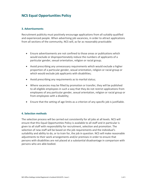## **3. Advertisements**

Recruitment publicity must positively encourage applications from all suitably qualified and experienced people. When advertising job vacancies, in order to attract applications from all sections of the community, NCS will, as far as reasonably practicable:

- Ensure advertisements are not confined to those areas or publications which would exclude or disproportionately reduce the numbers of applicants of a particular gender, sexual orientation, religion or racial group;
- Avoid prescribing any unnecessary requirements which would exclude a higher proportion of a particular gender, sexual orientation, religion or racial group or which would exclude job applicants with disabilities;
- Avoid prescribing any requirements as to marital status;
- Where vacancies may be filled by promotion or transfer, they will be published to all eligible employees in such a way that they do not restrict applications from employees of any particular gender, sexual orientation, religion or racial group or from employees with a disability;
- Ensure that the setting of age limits as a criterion of any specific job is justifiable.

### **4. Selection methods**

The selection process will be carried out consistently for all jobs at all levels. NCS will ensure that this Equal Opportunities Policy is available to all staff and in particular is given to all staff with responsibility for recruitment, selection and promotion. The selection of new staff will be based on the job requirements and the individual's suitability and ability to do, or to train for, the job in question. NCS will make reasonable adjustments to their work arrangements and/or premises in order to ensure that persons with disabilities are not placed at a substantial disadvantage in comparison with persons who are able bodied.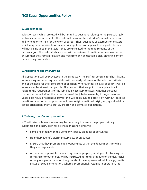#### **5. Selection tests**

Selection tests which are used will be limited to questions relating to the particular job and/or career requirements. The tests will measure the individual's actual or inherent ability to do or to train for the work or career. Thus, questions or exercises on matters which may be unfamiliar to racial minority applicants or applicants of a particular sex will not be included in the tests if they are unrelated to the requirements of the particular job. The tests which are used will be reviewed from time to time in order to ensure that they remain relevant and free from any unjustifiable bias, either in content or in scoring mechanism.

### **6. Applications and interviewing**

All applications will be processed in the same way. The staff responsible for short-listing, interviewing and selecting candidates will be clearly informed of the selection criteria and of the need for their consistent application. Wherever possible, all applicants will be interviewed by at least two people. All questions that are put to the applicants will relate to the requirements of the job. If it is necessary to assess whether personal circumstances will affect the performance of the job (for example, if the job involves unsociable hours or extensive travel), this will be discussed objectively, without detailed questions based on assumptions about race, religion, national origin, sex, age, disability, sexual orientation, marital status, children and domestic obligations.

#### **7. Training, transfer and promotion**

NCS will take such measures as may be necessary to ensure the proper training, supervision and instruction for all line managers in order to;

- Familiarise them with the Company's policy on equal opportunities;
- Help them identify discriminatory acts or practices;
- Ensure that they promote equal opportunity within the departments for which they are responsible;
- All persons responsible for selecting new employees, employees for training, or for transfer to other jobs, will be instructed not to discriminate on gender, racial or religious grounds and on the grounds of the employee's disability, age, marital status or sexual orientation. Where a promotional system is in operation, the